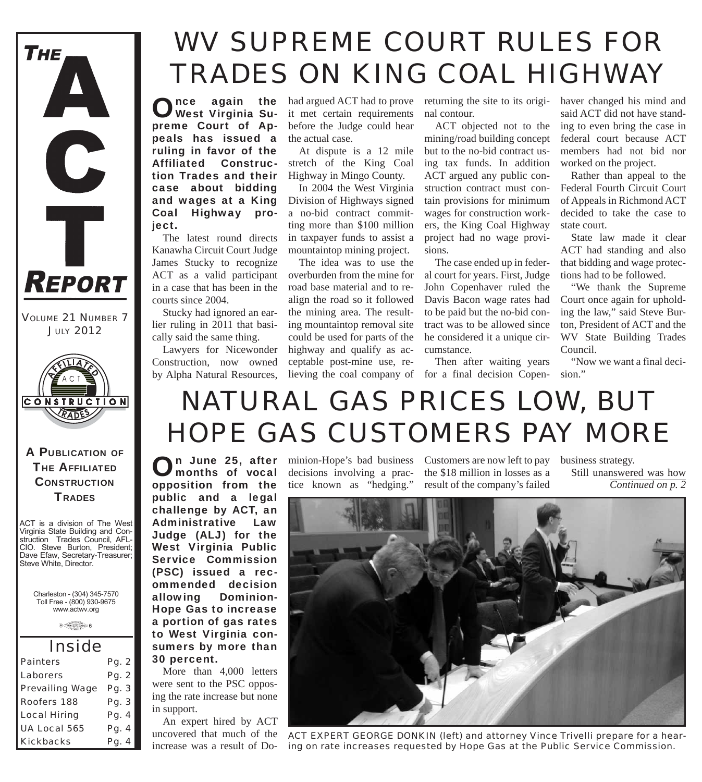

*VOLUME 21 NUMBER 7 JULY 2012*



A PUBLICATION OF **THE AFFILIATED CONSTRUCTION TRADES** 

ACT is a division of The West Virginia State Building and Construction Trades Council, AFL-CIO. Steve Burton, President; Dave Efaw, Secretary-Treasurer; Steve White, Director.

Charleston - (304) 345-7570 Toll Free - (800) 930-9675 www.actwv.org

 $\theta$  (There (22) couler  $6$ 

| <i><b>Inside</b></i>   |       |
|------------------------|-------|
| <b>Painters</b>        | Pg. 2 |
| Laborers               | Pg. 2 |
| <b>Prevailing Wage</b> | Pg. 3 |
| <b>Roofers 188</b>     | Pg. 3 |
| <b>Local Hiring</b>    | Pg. 4 |
| UA Local 565           | Pg. 4 |
| <b>Kickbacks</b>       | Pg. 4 |

## *WV SUPREME COURT RULES FOR TRADES ON KING COAL HIGHWAY*

Once again the had argued ACT had to prove<br>West Virginia Su-<br>it met certain requirements West Virginia Supreme Court of Appeals has issued a ruling in favor of the Affiliated Construction Trades and their case about bidding and wages at a King Coal Highway proiect.

The latest round directs Kanawha Circuit Court Judge James Stucky to recognize ACT as a valid participant in a case that has been in the courts since 2004.

Stucky had ignored an earlier ruling in 2011 that basically said the same thing.

Lawyers for Nicewonder Construction, now owned by Alpha Natural Resources,

On June 25, after<br>Omonths of vocal

public and a legal challenge by ACT, an Administrative Law Judge (ALJ) for the

ommended decision allowing Dominion-

a portion of gas rates to West Virginia con-

More than 4,000 letters were sent to the PSC opposing the rate increase but none

An expert hired by ACT uncovered that much of the increase was a result of Do-

30 percent.

in support.

it met certain requirements before the Judge could hear the actual case.

At dispute is a 12 mile stretch of the King Coal Highway in Mingo County.

In 2004 the West Virginia Division of Highways signed a no-bid contract committing more than \$100 million in taxpayer funds to assist a mountaintop mining project.

The idea was to use the overburden from the mine for road base material and to realign the road so it followed the mining area. The resulting mountaintop removal site could be used for parts of the highway and qualify as acceptable post-mine use, rereturning the site to its original contour.

ACT objected not to the mining/road building concept but to the no-bid contract using tax funds. In addition ACT argued any public construction contract must contain provisions for minimum wages for construction workers, the King Coal Highway project had no wage provisions.

The case ended up in federal court for years. First, Judge John Copenhaver ruled the Davis Bacon wage rates had to be paid but the no-bid contract was to be allowed since he considered it a unique circumstance.

lieving the coal company of for a final decision Copen-Then after waiting years

haver changed his mind and said ACT did not have standing to even bring the case in federal court because ACT members had not bid nor worked on the project.

Rather than appeal to the Federal Fourth Circuit Court of Appeals in Richmond ACT decided to take the case to state court.

State law made it clear ACT had standing and also that bidding and wage protections had to be followed.

"We thank the Supreme Court once again for upholding the law," said Steve Burton, President of ACT and the WV State Building Trades Council.

"Now we want a final decision."

## *NATURAL GAS PRICES LOW, BUT HOPE GAS CUSTOMERS PAY MORE*

opposition from the minion-Hope's bad business decisions involving a practice known as "hedging."

Customers are now left to pay the \$18 million in losses as a result of the company's failed

business strategy. Still unanswered was how

*Continued on p. 2*



*ACT EXPERT GEORGE DONKIN (left) and attorney Vince Trivelli prepare for a hearing on rate increases requested by Hope Gas at the Public Service Commission.*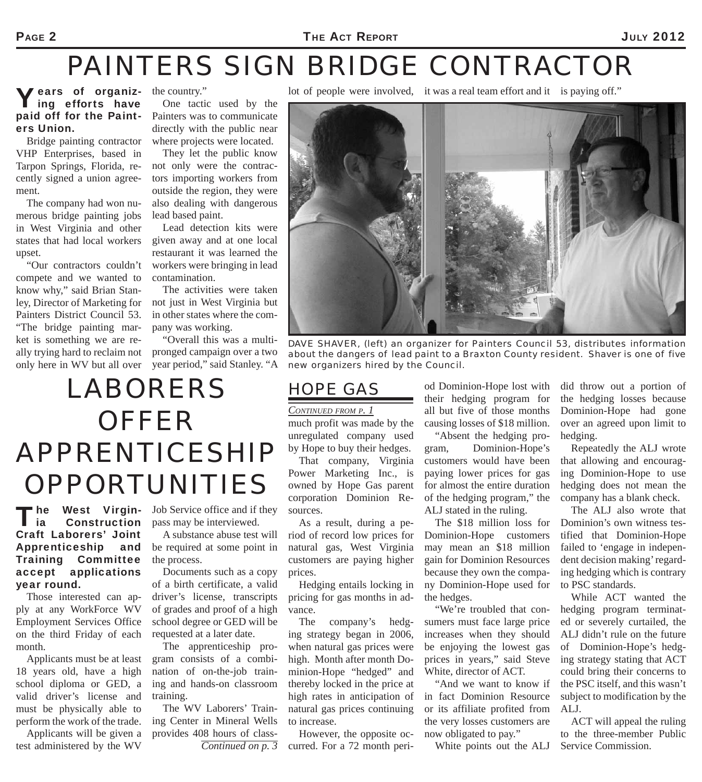### PAGE 2 **THE ACT REPORT** 2012

## *PAINTERS SIGN BRIDGE CONTRACTOR*

*HOPE GAS* 

*CONTINUED FROM P. 1*

sources.

prices.

vance.

much profit was made by the unregulated company used by Hope to buy their hedges. That company, Virginia Power Marketing Inc., is owned by Hope Gas parent corporation Dominion Re-

As a result, during a period of record low prices for natural gas, West Virginia customers are paying higher

Hedging entails locking in pricing for gas months in ad-

The company's hedging strategy began in 2006, when natural gas prices were high. Month after month Dominion-Hope "hedged" and thereby locked in the price at high rates in anticipation of natural gas prices continuing

### Vears of organizing efforts have paid off for the Painters Union.

Bridge painting contractor VHP Enterprises, based in Tarpon Springs, Florida, recently signed a union agreement.

The company had won numerous bridge painting jobs in West Virginia and other states that had local workers upset.

"Our contractors couldn't compete and we wanted to know why," said Brian Stanley, Director of Marketing for Painters District Council 53. "The bridge painting market is something we are really trying hard to reclaim not only here in WV but all over

the country."

One tactic used by the Painters was to communicate directly with the public near where projects were located.

They let the public know not only were the contractors importing workers from outside the region, they were also dealing with dangerous lead based paint.

Lead detection kits were given away and at one local restaurant it was learned the workers were bringing in lead contamination.

The activities were taken not just in West Virginia but in other states where the company was working.

"Overall this was a multipronged campaign over a two year period," said Stanley. "A lot of people were involved, it was a real team effort and it is paying off."



*DAVE SHAVER, (left) an organizer for Painters Council 53, distributes information about the dangers of lead paint to a Braxton County resident. Shaver is one of five new organizers hired by the Council.*

# *LABORERS OFFER APPRENTICESHIP OPPORTUNITIES*

The West Virgin- Job Service office and if they<br>
ia Construction pass may be interviewed. l ia Construction Craft Laborers' Joint Apprenticeship and Training Committee accept applications year round.

Those interested can apply at any WorkForce WV Employment Services Office on the third Friday of each month.

Applicants must be at least 18 years old, have a high school diploma or GED, a valid driver's license and must be physically able to perform the work of the trade.

Applicants will be given a test administered by the WV

pass may be interviewed.

A substance abuse test will be required at some point in the process.

Documents such as a copy of a birth certificate, a valid driver's license, transcripts of grades and proof of a high school degree or GED will be requested at a later date.

The apprenticeship program consists of a combination of on-the-job training and hands-on classroom training.

The WV Laborers' Training Center in Mineral Wells provides 408 hours of class-

*Continued on p. 3* However, the opposite occurred. For a 72 month peri-

to increase.

od Dominion-Hope lost with their hedging program for all but five of those months causing losses of \$18 million.

"Absent the hedging program, Dominion-Hope's customers would have been paying lower prices for gas for almost the entire duration of the hedging program," the ALJ stated in the ruling.

The \$18 million loss for Dominion-Hope customers may mean an \$18 million gain for Dominion Resources because they own the company Dominion-Hope used for the hedges.

"We're troubled that consumers must face large price increases when they should be enjoying the lowest gas prices in years," said Steve White, director of ACT.

"And we want to know if in fact Dominion Resource or its affiliate profited from the very losses customers are now obligated to pay."

White points out the ALJ

did throw out a portion of the hedging losses because Dominion-Hope had gone over an agreed upon limit to hedging.

Repeatedly the ALJ wrote that allowing and encouraging Dominion-Hope to use hedging does not mean the company has a blank check.

The ALJ also wrote that Dominion's own witness testified that Dominion-Hope failed to 'engage in independent decision making' regarding hedging which is contrary to PSC standards.

While ACT wanted the hedging program terminated or severely curtailed, the ALJ didn't rule on the future of Dominion-Hope's hedging strategy stating that ACT could bring their concerns to the PSC itself, and this wasn't subject to modification by the ALJ.

ACT will appeal the ruling to the three-member Public Service Commission.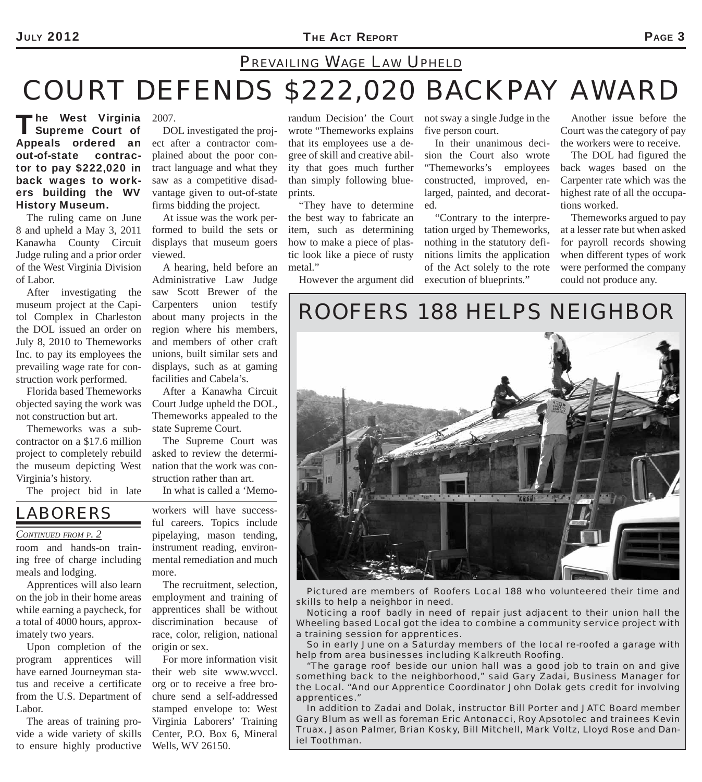### JULY 2012 **PAGE 3**

## *COURT DEFENDS \$222,020 BACKPAY AWARD PREVAILING WAGE LAW UPHELD*

The West Virginia<br>
Supreme Court of Appeals ordered an out-of-state contractor to pay \$222,020 in back wages to workers building the WV History Museum. he West Virginia 2007.

The ruling came on June 8 and upheld a May 3, 2011 Kanawha County Circuit Judge ruling and a prior order of the West Virginia Division of Labor.

After investigating the museum project at the Capitol Complex in Charleston the DOL issued an order on July 8, 2010 to Themeworks Inc. to pay its employees the prevailing wage rate for construction work performed.

Florida based Themeworks objected saying the work was not construction but art.

Themeworks was a subcontractor on a \$17.6 million project to completely rebuild the museum depicting West Virginia's history.

The project bid in late

DOL investigated the project after a contractor complained about the poor contract language and what they saw as a competitive disadvantage given to out-of-state firms bidding the project.

At issue was the work performed to build the sets or displays that museum goers viewed.

A hearing, held before an Administrative Law Judge saw Scott Brewer of the Carpenters union testify about many projects in the region where his members, and members of other craft unions, built similar sets and displays, such as at gaming facilities and Cabela's.

After a Kanawha Circuit Court Judge upheld the DOL, Themeworks appealed to the state Supreme Court.

The Supreme Court was asked to review the determination that the work was construction rather than art.

*LABORERS* 

#### *CONTINUED FROM P. 2*

room and hands-on training free of charge including meals and lodging.

Apprentices will also learn on the job in their home areas while earning a paycheck, for a total of 4000 hours, approximately two years.

Upon completion of the program apprentices will have earned Journeyman status and receive a certificate from the U.S. Department of Labor.

The areas of training provide a wide variety of skills to ensure highly productive

In what is called a 'Memoworkers will have successful careers. Topics include pipelaying, mason tending, instrument reading, environmental remediation and much

more.

The recruitment, selection, employment and training of apprentices shall be without discrimination because of race, color, religion, national origin or sex.

For more information visit their web site www.wvccl. org or to receive a free brochure send a self-addressed stamped envelope to: West Virginia Laborers' Training Center, P.O. Box 6, Mineral Wells, WV 26150.

randum Decision' the Court wrote "Themeworks explains that its employees use a degree of skill and creative ability that goes much further than simply following blueprints.

"They have to determine the best way to fabricate an item, such as determining how to make a piece of plastic look like a piece of rusty metal."

However the argument did

not sway a single Judge in the five person court.

In their unanimous decision the Court also wrote "Themeworks's employees constructed, improved, enlarged, painted, and decorated.

"Contrary to the interpretation urged by Themeworks, nothing in the statutory definitions limits the application of the Act solely to the rote execution of blueprints."

Another issue before the Court was the category of pay the workers were to receive.

The DOL had figured the back wages based on the Carpenter rate which was the highest rate of all the occupations worked.

Themeworks argued to pay at a lesser rate but when asked for payroll records showing when different types of work were performed the company could not produce any.

### *ROOFERS 188 HELPS NEIGHBOR*



*Pictured are members of Roofers Local 188 who volunteered their time and skills to help a neighbor in need.*

*Noticing a roof badly in need of repair just adjacent to their union hall the Wheeling based Local got the idea to combine a community service project with a training session for apprentices.*

*So in early June on a Saturday members of the local re-roofed a garage with help from area businesses including Kalkreuth Roofing.*

*"The garage roof beside our union hall was a good job to train on and give something back to the neighborhood," said Gary Zadai, Business Manager for the Local. "And our Apprentice Coordinator John Dolak gets credit for involving apprentices."*

*In addition to Zadai and Dolak, instructor Bill Porter and JATC Board member Gary Blum as well as foreman Eric Antonacci, Roy Apsotolec and trainees Kevin Truax, Jason Palmer, Brian Kosky, Bill Mitchell, Mark Voltz, Lloyd Rose and Daniel Toothman.*